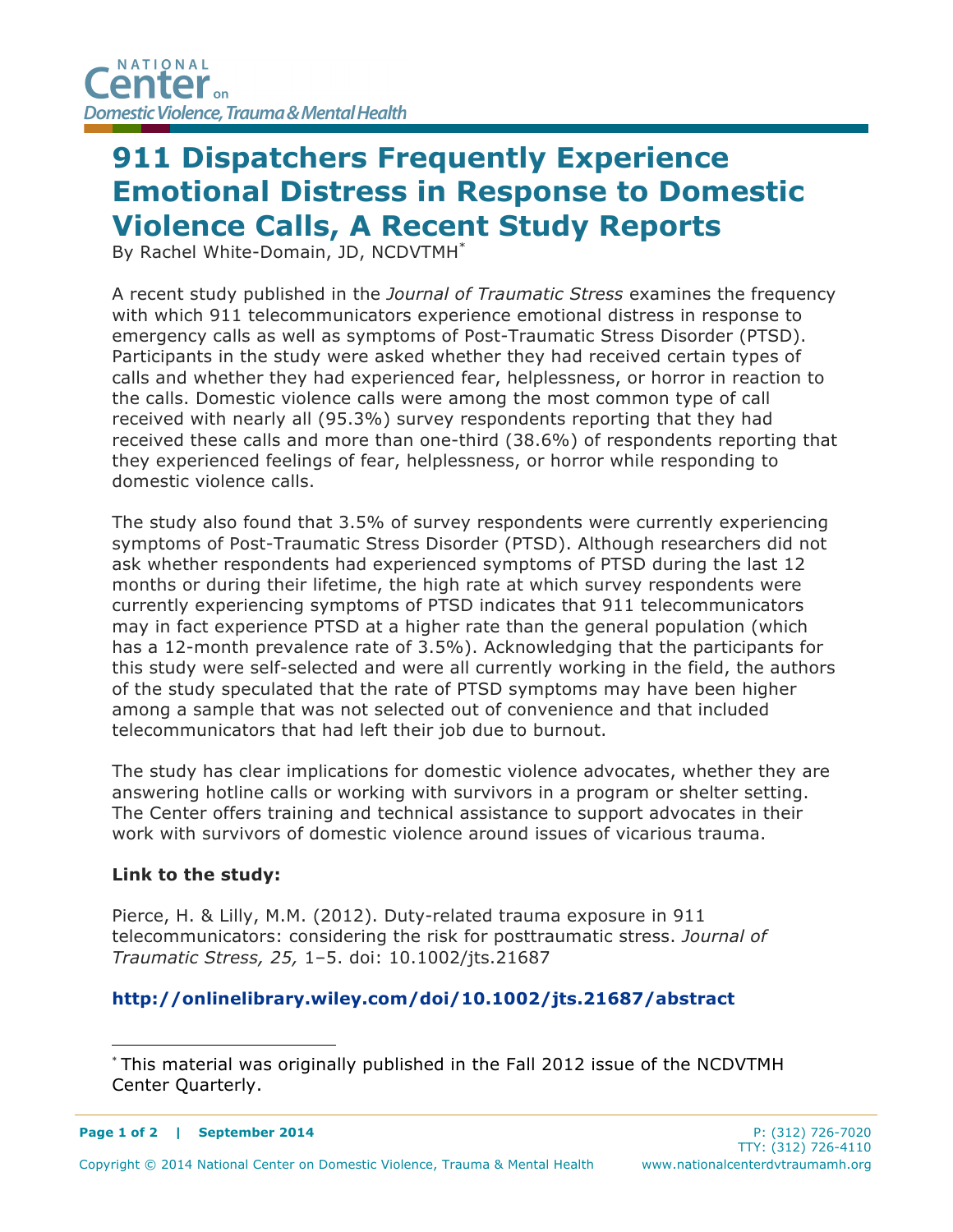## **911 Dispatchers Frequently Experience Emotional Distress in Response to Domestic Violence Calls, A Recent Study Reports**

By Rachel White-Domain, JD, NCDVTMH\*

A recent study published in the *Journal of Traumatic Stress* examines the frequency with which 911 telecommunicators experience emotional distress in response to emergency calls as well as symptoms of Post-Traumatic Stress Disorder (PTSD). Participants in the study were asked whether they had received certain types of calls and whether they had experienced fear, helplessness, or horror in reaction to the calls. Domestic violence calls were among the most common type of call received with nearly all (95.3%) survey respondents reporting that they had received these calls and more than one-third (38.6%) of respondents reporting that they experienced feelings of fear, helplessness, or horror while responding to domestic violence calls.

The study also found that 3.5% of survey respondents were currently experiencing symptoms of Post-Traumatic Stress Disorder (PTSD). Although researchers did not ask whether respondents had experienced symptoms of PTSD during the last 12 months or during their lifetime, the high rate at which survey respondents were currently experiencing symptoms of PTSD indicates that 911 telecommunicators may in fact experience PTSD at a higher rate than the general population (which has a 12-month prevalence rate of 3.5%). Acknowledging that the participants for this study were self-selected and were all currently working in the field, the authors of the study speculated that the rate of PTSD symptoms may have been higher among a sample that was not selected out of convenience and that included telecommunicators that had left their job due to burnout.

The study has clear implications for domestic violence advocates, whether they are answering hotline calls or working with survivors in a program or shelter setting. The Center offers training and technical assistance to support advocates in their work with survivors of domestic violence around issues of vicarious trauma.

## **Link to the study:**

Pierce, H. & Lilly, M.M. (2012). Duty-related trauma exposure in 911 telecommunicators: considering the risk for posttraumatic stress. *Journal of Traumatic Stress, 25,* 1–5. doi: 10.1002/jts.21687

## **http://onlinelibrary.wiley.com/doi/10.1002/jts.21687/abstract**

 <sup>\*</sup> This material was originally published in the Fall 2012 issue of the NCDVTMH Center Quarterly.